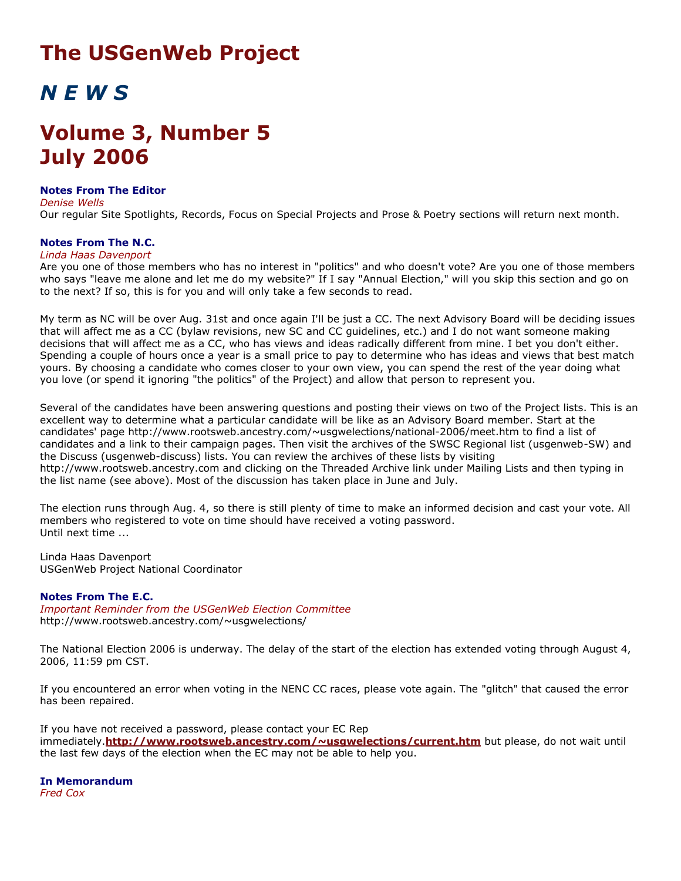## **The USGenWeb Project**

# *N E W S*

## **Volume 3, Number 5 July 2006**

#### **Notes From The Editor** *Denise Wells*

Our regular Site Spotlights, Records, Focus on Special Projects and Prose & Poetry sections will return next month.

### **Notes From The N.C.**

#### *Linda Haas Davenport*

Are you one of those members who has no interest in "politics" and who doesn't vote? Are you one of those members who says "leave me alone and let me do my website?" If I say "Annual Election," will you skip this section and go on to the next? If so, this is for you and will only take a few seconds to read.

My term as NC will be over Aug. 31st and once again I'll be just a CC. The next Advisory Board will be deciding issues that will affect me as a CC (bylaw revisions, new SC and CC guidelines, etc.) and I do not want someone making decisions that will affect me as a CC, who has views and ideas radically different from mine. I bet you don't either. Spending a couple of hours once a year is a small price to pay to determine who has ideas and views that best match yours. By choosing a candidate who comes closer to your own view, you can spend the rest of the year doing what you love (or spend it ignoring "the politics" of the Project) and allow that person to represent you.

Several of the candidates have been answering questions and posting their views on two of the Project lists. This is an excellent way to determine what a particular candidate will be like as an Advisory Board member. Start at the candidates' page http://www.rootsweb.ancestry.com/~usgwelections/national-2006/meet.htm to find a list of candidates and a link to their campaign pages. Then visit the archives of the SWSC Regional list (usgenweb-SW) and the Discuss (usgenweb-discuss) lists. You can review the archives of these lists by visiting http://www.rootsweb.ancestry.com and clicking on the Threaded Archive link under Mailing Lists and then typing in the list name (see above). Most of the discussion has taken place in June and July.

The election runs through Aug. 4, so there is still plenty of time to make an informed decision and cast your vote. All members who registered to vote on time should have received a voting password. Until next time ...

Linda Haas Davenport USGenWeb Project National Coordinator

### **Notes From The E.C.**

*Important Reminder from the USGenWeb Election Committee* http://www.rootsweb.ancestry.com/~usgwelections/

The National Election 2006 is underway. The delay of the start of the election has extended voting through August 4, 2006, 11:59 pm CST.

If you encountered an error when voting in the NENC CC races, please vote again. The "glitch" that caused the error has been repaired.

If you have not received a password, please contact your EC Rep immediately.**<http://www.rootsweb.ancestry.com/~usgwelections/current.htm>** but please, do not wait until the last few days of the election when the EC may not be able to help you.

**In Memorandum** *Fred Cox*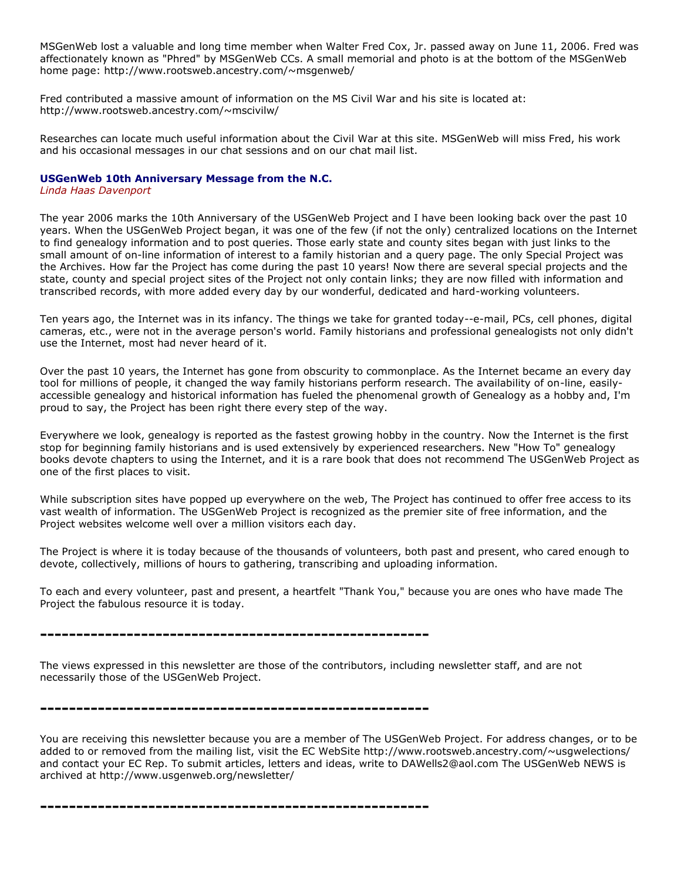MSGenWeb lost a valuable and long time member when Walter Fred Cox, Jr. passed away on June 11, 2006. Fred was affectionately known as "Phred" by MSGenWeb CCs. A small memorial and photo is at the bottom of the MSGenWeb home page: http://www.rootsweb.ancestry.com/~msgenweb/

Fred contributed a massive amount of information on the MS Civil War and his site is located at: http://www.rootsweb.ancestry.com/~mscivilw/

Researches can locate much useful information about the Civil War at this site. MSGenWeb will miss Fred, his work and his occasional messages in our chat sessions and on our chat mail list.

#### **USGenWeb 10th Anniversary Message from the N.C.**

*Linda Haas Davenport*

The year 2006 marks the 10th Anniversary of the USGenWeb Project and I have been looking back over the past 10 years. When the USGenWeb Project began, it was one of the few (if not the only) centralized locations on the Internet to find genealogy information and to post queries. Those early state and county sites began with just links to the small amount of on-line information of interest to a family historian and a query page. The only Special Project was the Archives. How far the Project has come during the past 10 years! Now there are several special projects and the state, county and special project sites of the Project not only contain links; they are now filled with information and transcribed records, with more added every day by our wonderful, dedicated and hard-working volunteers.

Ten years ago, the Internet was in its infancy. The things we take for granted today--e-mail, PCs, cell phones, digital cameras, etc., were not in the average person's world. Family historians and professional genealogists not only didn't use the Internet, most had never heard of it.

Over the past 10 years, the Internet has gone from obscurity to commonplace. As the Internet became an every day tool for millions of people, it changed the way family historians perform research. The availability of on-line, easilyaccessible genealogy and historical information has fueled the phenomenal growth of Genealogy as a hobby and, I'm proud to say, the Project has been right there every step of the way.

Everywhere we look, genealogy is reported as the fastest growing hobby in the country. Now the Internet is the first stop for beginning family historians and is used extensively by experienced researchers. New "How To" genealogy books devote chapters to using the Internet, and it is a rare book that does not recommend The USGenWeb Project as one of the first places to visit.

While subscription sites have popped up everywhere on the web, The Project has continued to offer free access to its vast wealth of information. The USGenWeb Project is recognized as the premier site of free information, and the Project websites welcome well over a million visitors each day.

The Project is where it is today because of the thousands of volunteers, both past and present, who cared enough to devote, collectively, millions of hours to gathering, transcribing and uploading information.

To each and every volunteer, past and present, a heartfelt "Thank You," because you are ones who have made The Project the fabulous resource it is today.

**------------------------------------------------------**

The views expressed in this newsletter are those of the contributors, including newsletter staff, and are not necessarily those of the USGenWeb Project.

**------------------------------------------------------**

You are receiving this newsletter because you are a member of The USGenWeb Project. For address changes, or to be added to or removed from the mailing list, visit the EC WebSite http://www.rootsweb.ancestry.com/~usgwelections/ and contact your EC Rep. To submit articles, letters and ideas, write to DAWells2@aol.com The USGenWeb NEWS is archived at http://www.usgenweb.org/newsletter/

**------------------------------------------------------**